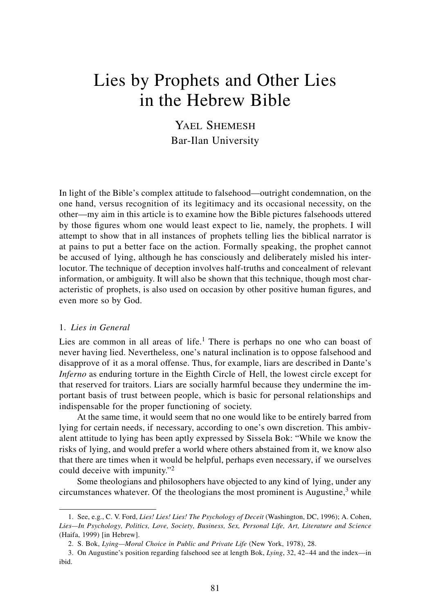# Lies by Prophets and Other Lies in the Hebrew Bible

YAEL SHEMESH Bar-Ilan University

In light of the Bible's complex attitude to falsehood—outright condemnation, on the one hand, versus recognition of its legitimacy and its occasional necessity, on the other—my aim in this article is to examine how the Bible pictures falsehoods uttered by those figures whom one would least expect to lie, namely, the prophets. I will attempt to show that in all instances of prophets telling lies the biblical narrator is at pains to put a better face on the action. Formally speaking, the prophet cannot be accused of lying, although he has consciously and deliberately misled his interlocutor. The technique of deception involves half-truths and concealment of relevant information, or ambiguity. It will also be shown that this technique, though most characteristic of prophets, is also used on occasion by other positive human figures, and even more so by God.

# 1. *Lies in General*

Lies are common in all areas of life.<sup>1</sup> There is perhaps no one who can boast of never having lied. Nevertheless, one's natural inclination is to oppose falsehood and disapprove of it as a moral offense. Thus, for example, liars are described in Dante's *Inferno* as enduring torture in the Eighth Circle of Hell, the lowest circle except for that reserved for traitors. Liars are socially harmful because they undermine the important basis of trust between people, which is basic for personal relationships and indispensable for the proper functioning of society.

At the same time, it would seem that no one would like to be entirely barred from lying for certain needs, if necessary, according to one's own discretion. This ambivalent attitude to lying has been aptly expressed by Sissela Bok: "While we know the risks of lying, and would prefer a world where others abstained from it, we know also that there are times when it would be helpful, perhaps even necessary, if we ourselves could deceive with impunity."<sup>2</sup>

Some theologians and philosophers have objected to any kind of lying, under any circumstances whatever. Of the theologians the most prominent is Augustine, $3$  while

<sup>1.</sup> See, e.g., C. V. Ford, *Lies! Lies! Lies! The Psychology of Deceit* (Washington, DC, 1996); A. Cohen, *Lies—In Psychology, Politics, Love, Society, Business, Sex, Personal Life, Art, Literature and Science* (Haifa, 1999) [in Hebrew].

<sup>2.</sup> S. Bok, *Lying—Moral Choice in Public and Private Life* (New York, 1978), 28.

<sup>3.</sup> On Augustine's position regarding falsehood see at length Bok, *Lying*, 32, 42–44 and the index—in ibid.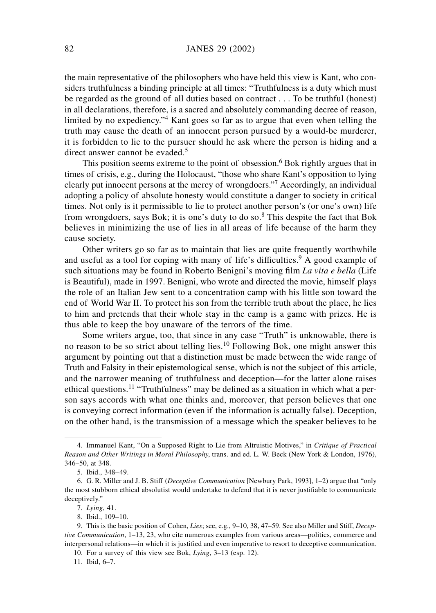the main representative of the philosophers who have held this view is Kant, who considers truthfulness a binding principle at all times: "Truthfulness is a duty which must be regarded as the ground of all duties based on contract . . . To be truthful (honest) in all declarations, therefore, is a sacred and absolutely commanding decree of reason, limited by no expediency."<sup>4</sup> Kant goes so far as to argue that even when telling the truth may cause the death of an innocent person pursued by a would-be murderer, it is forbidden to lie to the pursuer should he ask where the person is hiding and a direct answer cannot be evaded.<sup>5</sup>

This position seems extreme to the point of obsession.<sup>6</sup> Bok rightly argues that in times of crisis, e.g., during the Holocaust, "those who share Kant's opposition to lying clearly put innocent persons at the mercy of wrongdoers."<sup>7</sup> Accordingly, an individual adopting a policy of absolute honesty would constitute a danger to society in critical times. Not only is it permissible to lie to protect another person's (or one's own) life from wrongdoers, says Bok; it is one's duty to do so. $8$  This despite the fact that Bok believes in minimizing the use of lies in all areas of life because of the harm they cause society.

Other writers go so far as to maintain that lies are quite frequently worthwhile and useful as a tool for coping with many of life's difficulties.<sup>9</sup> A good example of such situations may be found in Roberto Benigni's moving film *La vita e bella* (Life is Beautiful), made in 1997. Benigni, who wrote and directed the movie, himself plays the role of an Italian Jew sent to a concentration camp with his little son toward the end of World War II. To protect his son from the terrible truth about the place, he lies to him and pretends that their whole stay in the camp is a game with prizes. He is thus able to keep the boy unaware of the terrors of the time.

Some writers argue, too, that since in any case "Truth" is unknowable, there is no reason to be so strict about telling lies.<sup>10</sup> Following Bok, one might answer this argument by pointing out that a distinction must be made between the wide range of Truth and Falsity in their epistemological sense, which is not the subject of this article, and the narrower meaning of truthfulness and deception—for the latter alone raises ethical questions.<sup>11</sup> "Truthfulness" may be defined as a situation in which what a person says accords with what one thinks and, moreover, that person believes that one is conveying correct information (even if the information is actually false). Deception, on the other hand, is the transmission of a message which the speaker believes to be

10. For a survey of this view see Bok, *Lying*, 3–13 (esp. 12).

11. Ibid, 6–7.

<sup>4.</sup> Immanuel Kant, "On a Supposed Right to Lie from Altruistic Motives," in *Critique of Practical Reason and Other Writings in Moral Philosophy*, trans. and ed. L. W. Beck (New York & London, 1976), 346–50, at 348.

<sup>5.</sup> Ibid., 348–49.

<sup>6.</sup> G. R. Miller and J. B. Stiff (*Deceptive Communication* [Newbury Park, 1993], 1–2) argue that "only the most stubborn ethical absolutist would undertake to defend that it is never justifiable to communicate deceptively."

<sup>7.</sup> *Lying*, 41.

<sup>8.</sup> Ibid., 109–10.

<sup>9.</sup> This is the basic position of Cohen, *Lies*; see, e.g., 9–10, 38, 47–59. See also Miller and Stiff, *Deceptive Communication*, 1–13, 23, who cite numerous examples from various areas—politics, commerce and interpersonal relations—in which it is justified and even imperative to resort to deceptive communication.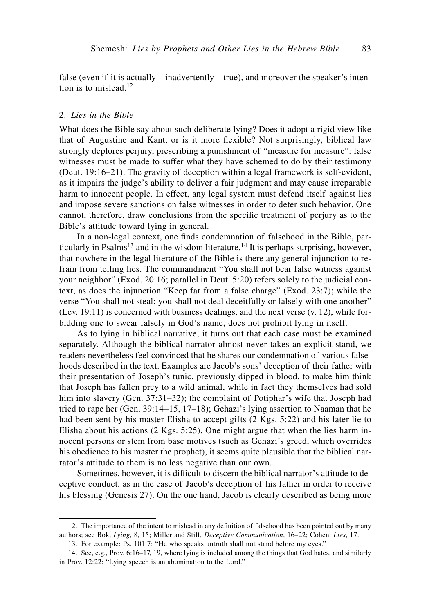false (even if it is actually—inadvertently—true), and moreover the speaker's intention is to mislead. $12$ 

### 2. *Lies in the Bible*

What does the Bible say about such deliberate lying? Does it adopt a rigid view like that of Augustine and Kant, or is it more flexible? Not surprisingly, biblical law strongly deplores perjury, prescribing a punishment of "measure for measure": false witnesses must be made to suffer what they have schemed to do by their testimony (Deut. 19:16–21). The gravity of deception within a legal framework is self-evident, as it impairs the judge's ability to deliver a fair judgment and may cause irreparable harm to innocent people. In effect, any legal system must defend itself against lies and impose severe sanctions on false witnesses in order to deter such behavior. One cannot, therefore, draw conclusions from the specific treatment of perjury as to the Bible's attitude toward lying in general.

In a non-legal context, one finds condemnation of falsehood in the Bible, particularly in Psalms<sup>13</sup> and in the wisdom literature.<sup>14</sup> It is perhaps surprising, however, that nowhere in the legal literature of the Bible is there any general injunction to refrain from telling lies. The commandment "You shall not bear false witness against your neighbor" (Exod. 20:16; parallel in Deut. 5:20) refers solely to the judicial context, as does the injunction "Keep far from a false charge" (Exod. 23:7); while the verse "You shall not steal; you shall not deal deceitfully or falsely with one another" (Lev. 19:11) is concerned with business dealings, and the next verse (v. 12), while forbidding one to swear falsely in God's name, does not prohibit lying in itself.

As to lying in biblical narrative, it turns out that each case must be examined separately. Although the biblical narrator almost never takes an explicit stand, we readers nevertheless feel convinced that he shares our condemnation of various falsehoods described in the text. Examples are Jacob's sons' deception of their father with their presentation of Joseph's tunic, previously dipped in blood, to make him think that Joseph has fallen prey to a wild animal, while in fact they themselves had sold him into slavery (Gen. 37:31–32); the complaint of Potiphar's wife that Joseph had tried to rape her (Gen. 39:14–15, 17–18); Gehazi's lying assertion to Naaman that he had been sent by his master Elisha to accept gifts (2 Kgs. 5:22) and his later lie to Elisha about his actions (2 Kgs. 5:25). One might argue that when the lies harm innocent persons or stem from base motives (such as Gehazi's greed, which overrides his obedience to his master the prophet), it seems quite plausible that the biblical narrator's attitude to them is no less negative than our own.

Sometimes, however, it is difficult to discern the biblical narrator's attitude to deceptive conduct, as in the case of Jacob's deception of his father in order to receive his blessing (Genesis 27). On the one hand, Jacob is clearly described as being more

<sup>12.</sup> The importance of the intent to mislead in any definition of falsehood has been pointed out by many authors; see Bok, *Lying*, 8, 15; Miller and Stiff, *Deceptive Communication*, 16–22; Cohen, *Lies*, 17.

<sup>13.</sup> For example: Ps. 101:7: "He who speaks untruth shall not stand before my eyes."

<sup>14.</sup> See, e.g., Prov. 6:16–17, 19, where lying is included among the things that God hates, and similarly in Prov. 12:22: "Lying speech is an abomination to the Lord."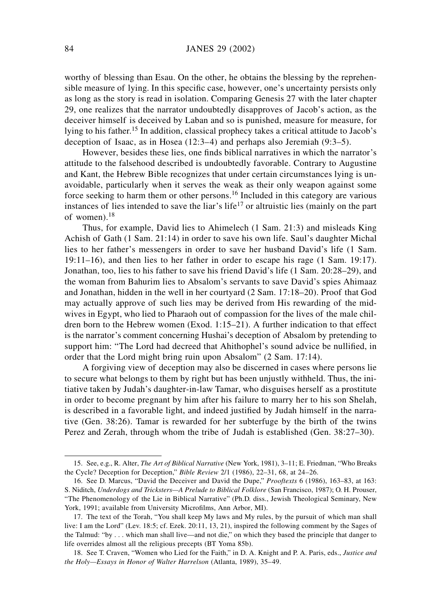worthy of blessing than Esau. On the other, he obtains the blessing by the reprehensible measure of lying. In this specific case, however, one's uncertainty persists only as long as the story is read in isolation. Comparing Genesis 27 with the later chapter 29, one realizes that the narrator undoubtedly disapproves of Jacob's action, as the deceiver himself is deceived by Laban and so is punished, measure for measure, for lying to his father.<sup>15</sup> In addition, classical prophecy takes a critical attitude to Jacob's deception of Isaac, as in Hosea (12:3–4) and perhaps also Jeremiah (9:3–5).

However, besides these lies, one finds biblical narratives in which the narrator's attitude to the falsehood described is undoubtedly favorable. Contrary to Augustine and Kant, the Hebrew Bible recognizes that under certain circumstances lying is unavoidable, particularly when it serves the weak as their only weapon against some force seeking to harm them or other persons.<sup>16</sup> Included in this category are various instances of lies intended to save the liar's life<sup>17</sup> or altruistic lies (mainly on the part of women).<sup>18</sup>

Thus, for example, David lies to Ahimelech (1 Sam. 21:3) and misleads King Achish of Gath (1 Sam. 21:14) in order to save his own life. Saul's daughter Michal lies to her father's messengers in order to save her husband David's life (1 Sam. 19:11–16), and then lies to her father in order to escape his rage (1 Sam. 19:17). Jonathan, too, lies to his father to save his friend David's life (1 Sam. 20:28–29), and the woman from Bahurim lies to Absalom's servants to save David's spies Ahimaaz and Jonathan, hidden in the well in her courtyard (2 Sam. 17:18–20). Proof that God may actually approve of such lies may be derived from His rewarding of the midwives in Egypt, who lied to Pharaoh out of compassion for the lives of the male children born to the Hebrew women (Exod. 1:15–21). A further indication to that effect is the narrator's comment concerning Hushai's deception of Absalom by pretending to support him: "The Lord had decreed that Ahithophel's sound advice be nullified, in order that the Lord might bring ruin upon Absalom" (2 Sam. 17:14).

A forgiving view of deception may also be discerned in cases where persons lie to secure what belongs to them by right but has been unjustly withheld. Thus, the initiative taken by Judah's daughter-in-law Tamar, who disguises herself as a prostitute in order to become pregnant by him after his failure to marry her to his son Shelah, is described in a favorable light, and indeed justified by Judah himself in the narrative (Gen. 38:26). Tamar is rewarded for her subterfuge by the birth of the twins Perez and Zerah, through whom the tribe of Judah is established (Gen. 38:27–30).

<sup>15.</sup> See, e.g., R. Alter, *The Art of Biblical Narrative* (New York, 1981), 3–11; E. Friedman, "Who Breaks the Cycle? Deception for Deception," *Bible Review* 2/1 (1986), 22–31, 68, at 24–26.

<sup>16.</sup> See D. Marcus, "David the Deceiver and David the Dupe," *Prooftexts* 6 (1986), 163–83, at 163: S. Niditch, *Underdogs and Tricksters—A Prelude to Biblical Folklore* (San Francisco, 1987); O. H. Prouser, "The Phenomenology of the Lie in Biblical Narrative" (Ph.D. diss., Jewish Theological Seminary, New York, 1991; available from University Microfilms, Ann Arbor, MI).

<sup>17.</sup> The text of the Torah, "You shall keep My laws and My rules, by the pursuit of which man shall live: I am the Lord" (Lev. 18:5; cf. Ezek. 20:11, 13, 21), inspired the following comment by the Sages of the Talmud: "by . . . which man shall live—and not die," on which they based the principle that danger to life overrides almost all the religious precepts (BT Yoma 85b).

<sup>18.</sup> See T. Craven, "Women who Lied for the Faith," in D. A. Knight and P. A. Paris, eds., *Justice and the Holy—Essays in Honor of Walter Harrelson* (Atlanta, 1989), 35–49.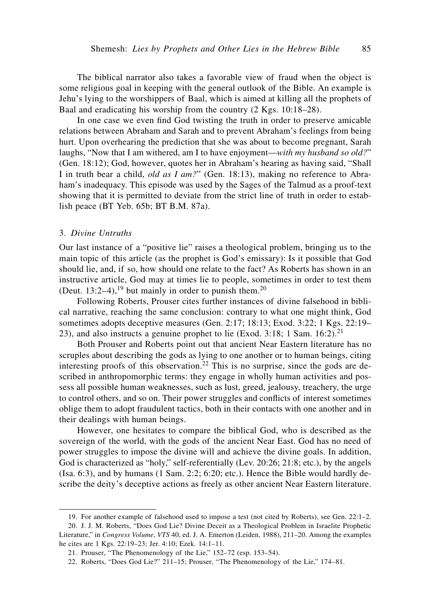The biblical narrator also takes a favorable view of fraud when the object is some religious goal in keeping with the general outlook of the Bible. An example is Jehu's lying to the worshippers of Baal, which is aimed at killing all the prophets of Baal and eradicating his worship from the country (2 Kgs. 10:18–28).

In one case we even find God twisting the truth in order to preserve amicable relations between Abraham and Sarah and to prevent Abraham's feelings from being hurt. Upon overhearing the prediction that she was about to become pregnant, Sarah laughs, "Now that I am withered, am I to have enjoyment—*with my husband so old?*" (Gen. 18:12); God, however, quotes her in Abraham's hearing as having said, "Shall I in truth bear a child, *old as I am?*" (Gen. 18:13), making no reference to Abraham's inadequacy. This episode was used by the Sages of the Talmud as a proof-text showing that it is permitted to deviate from the strict line of truth in order to establish peace (BT Yeb. 65b; BT B.M. 87a).

#### 3. *Divine Untruths*

Our last instance of a "positive lie" raises a theological problem, bringing us to the main topic of this article (as the prophet is God's emissary): Is it possible that God should lie, and, if so, how should one relate to the fact? As Roberts has shown in an instructive article, God may at times lie to people, sometimes in order to test them (Deut. 13:2–4),<sup>19</sup> but mainly in order to punish them.<sup>20</sup>

Following Roberts, Prouser cites further instances of divine falsehood in biblical narrative, reaching the same conclusion: contrary to what one might think, God sometimes adopts deceptive measures (Gen. 2:17; 18:13; Exod. 3:22; 1 Kgs. 22:19– 23), and also instructs a genuine prophet to lie (Exod. 3:18; 1 Sam.  $16:2$ ).<sup>21</sup>

Both Prouser and Roberts point out that ancient Near Eastern literature has no scruples about describing the gods as lying to one another or to human beings, citing interesting proofs of this observation.<sup>22</sup> This is no surprise, since the gods are described in anthropomorphic terms: they engage in wholly human activities and possess all possible human weaknesses, such as lust, greed, jealousy, treachery, the urge to control others, and so on. Their power struggles and conflicts of interest sometimes oblige them to adopt fraudulent tactics, both in their contacts with one another and in their dealings with human beings.

However, one hesitates to compare the biblical God, who is described as the sovereign of the world, with the gods of the ancient Near East. God has no need of power struggles to impose the divine will and achieve the divine goals. In addition, God is characterized as "holy," self-referentially (Lev. 20:26; 21:8; etc.), by the angels (Isa. 6:3), and by humans (1 Sam. 2:2; 6:20; etc.). Hence the Bible would hardly describe the deity's deceptive actions as freely as other ancient Near Eastern literature.

<sup>19.</sup> For another example of falsehood used to impose a test (not cited by Roberts), see Gen. 22:1–2.

<sup>20.</sup> J. J. M. Roberts, "Does God Lie? Divine Deceit as a Theological Problem in Israelite Prophetic Literature," in *Congress Volume*, *VTS* 40, ed. J. A. Emerton (Leiden, 1988), 211–20. Among the examples he cites are 1 Kgs. 22:19–23; Jer. 4:10; Ezek. 14:1–11.

<sup>21.</sup> Prouser, "The Phenomenology of the Lie," 152–72 (esp. 153–54).

<sup>22.</sup> Roberts, "Does God Lie?" 211–15; Prouser, "The Phenomenology of the Lie," 174–81.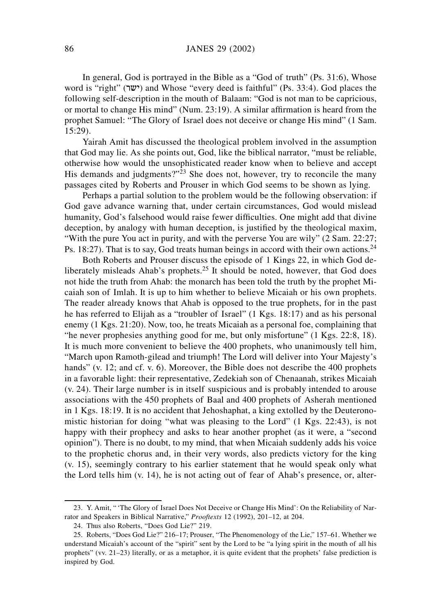In general, God is portrayed in the Bible as a "God of truth" (Ps. 31:6), Whose word is "right" (ישר) and Whose "every deed is faithful" (Ps. 33:4). God places the following self-description in the mouth of Balaam: "God is not man to be capricious, or mortal to change His mind" (Num. 23:19). A similar affirmation is heard from the prophet Samuel: "The Glory of Israel does not deceive or change His mind" (1 Sam. 15:29).

Yairah Amit has discussed the theological problem involved in the assumption that God may lie. As she points out, God, like the biblical narrator, "must be reliable, otherwise how would the unsophisticated reader know when to believe and accept His demands and judgments?"<sup>23</sup> She does not, however, try to reconcile the many passages cited by Roberts and Prouser in which God seems to be shown as lying.

Perhaps a partial solution to the problem would be the following observation: if God gave advance warning that, under certain circumstances, God would mislead humanity, God's falsehood would raise fewer difficulties. One might add that divine deception, by analogy with human deception, is justified by the theological maxim, "With the pure You act in purity, and with the perverse You are wily" (2 Sam. 22:27; Ps. 18:27). That is to say, God treats human beings in accord with their own actions.<sup>24</sup>

Both Roberts and Prouser discuss the episode of 1 Kings 22, in which God deliberately misleads Ahab's prophets.<sup>25</sup> It should be noted, however, that God does not hide the truth from Ahab: the monarch has been told the truth by the prophet Micaiah son of Imlah. It is up to him whether to believe Micaiah or his own prophets. The reader already knows that Ahab is opposed to the true prophets, for in the past he has referred to Elijah as a "troubler of Israel" (1 Kgs. 18:17) and as his personal enemy (1 Kgs. 21:20). Now, too, he treats Micaiah as a personal foe, complaining that "he never prophesies anything good for me, but only misfortune" (1 Kgs. 22:8, 18). It is much more convenient to believe the 400 prophets, who unanimously tell him, "March upon Ramoth-gilead and triumph! The Lord will deliver into Your Majesty's hands" (v. 12; and cf. v. 6). Moreover, the Bible does not describe the 400 prophets in a favorable light: their representative, Zedekiah son of Chenaanah, strikes Micaiah (v. 24). Their large number is in itself suspicious and is probably intended to arouse associations with the 450 prophets of Baal and 400 prophets of Asherah mentioned in 1 Kgs. 18:19. It is no accident that Jehoshaphat, a king extolled by the Deuteronomistic historian for doing "what was pleasing to the Lord" (1 Kgs. 22:43), is not happy with their prophecy and asks to hear another prophet (as it were, a "second opinion"). There is no doubt, to my mind, that when Micaiah suddenly adds his voice to the prophetic chorus and, in their very words, also predicts victory for the king (v. 15), seemingly contrary to his earlier statement that he would speak only what the Lord tells him (v. 14), he is not acting out of fear of Ahab's presence, or, alter-

<sup>23.</sup> Y. Amit, " 'The Glory of Israel Does Not Deceive or Change His Mind': On the Reliability of Narrator and Speakers in Biblical Narrative," *Prooftexts* 12 (1992), 201–12, at 204.

<sup>24.</sup> Thus also Roberts, "Does God Lie?" 219.

<sup>25.</sup> Roberts, "Does God Lie?" 216–17; Prouser, "The Phenomenology of the Lie," 157–61. Whether we understand Micaiah's account of the "spirit" sent by the Lord to be "a lying spirit in the mouth of all his prophets" (vv. 21–23) literally, or as a metaphor, it is quite evident that the prophets' false prediction is inspired by God.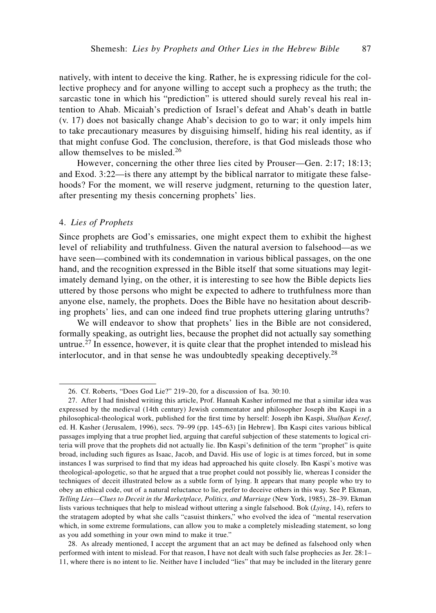natively, with intent to deceive the king. Rather, he is expressing ridicule for the collective prophecy and for anyone willing to accept such a prophecy as the truth; the sarcastic tone in which his "prediction" is uttered should surely reveal his real intention to Ahab. Micaiah's prediction of Israel's defeat and Ahab's death in battle (v. 17) does not basically change Ahab's decision to go to war; it only impels him to take precautionary measures by disguising himself, hiding his real identity, as if that might confuse God. The conclusion, therefore, is that God misleads those who allow themselves to be misled.<sup>26</sup>

However, concerning the other three lies cited by Prouser—Gen. 2:17; 18:13; and Exod. 3:22—is there any attempt by the biblical narrator to mitigate these falsehoods? For the moment, we will reserve judgment, returning to the question later, after presenting my thesis concerning prophets' lies.

#### 4. *Lies of Prophets*

Since prophets are God's emissaries, one might expect them to exhibit the highest level of reliability and truthfulness. Given the natural aversion to falsehood—as we have seen—combined with its condemnation in various biblical passages, on the one hand, and the recognition expressed in the Bible itself that some situations may legitimately demand lying, on the other, it is interesting to see how the Bible depicts lies uttered by those persons who might be expected to adhere to truthfulness more than anyone else, namely, the prophets. Does the Bible have no hesitation about describing prophets' lies, and can one indeed find true prophets uttering glaring untruths?

We will endeavor to show that prophets' lies in the Bible are not considered, formally speaking, as outright lies, because the prophet did not actually say something untrue.<sup>27</sup> In essence, however, it is quite clear that the prophet intended to mislead his interlocutor, and in that sense he was undoubtedly speaking deceptively.<sup>28</sup>

<sup>26.</sup> Cf. Roberts, "Does God Lie?" 219–20, for a discussion of Isa. 30:10.

<sup>27.</sup> After I had finished writing this article, Prof. Hannah Kasher informed me that a similar idea was expressed by the medieval (14th century) Jewish commentator and philosopher Joseph ibn Kaspi in a philosophical-theological work, published for the first time by herself: Joseph ibn Kaspi, *Shul˙an Kesef*, ed. H. Kasher (Jerusalem, 1996), secs. 79–99 (pp. 145–63) [in Hebrew]. Ibn Kaspi cites various biblical passages implying that a true prophet lied, arguing that careful subjection of these statements to logical criteria will prove that the prophets did not actually lie. Ibn Kaspi's definition of the term "prophet" is quite broad, including such figures as Isaac, Jacob, and David. His use of logic is at times forced, but in some instances I was surprised to find that my ideas had approached his quite closely. Ibn Kaspi's motive was theological-apologetic, so that he argued that a true prophet could not possibly lie, whereas I consider the techniques of deceit illustrated below as a subtle form of lying. It appears that many people who try to obey an ethical code, out of a natural reluctance to lie, prefer to deceive others in this way. See P. Ekman, *Telling Lies—Clues to Deceit in the Marketplace, Politics, and Marriage* (New York, 1985), 28–39. Ekman lists various techniques that help to mislead without uttering a single falsehood. Bok (*Lying*, 14), refers to the stratagem adopted by what she calls "casuist thinkers," who evolved the idea of "mental reservation which, in some extreme formulations, can allow you to make a completely misleading statement, so long as you add something in your own mind to make it true."

<sup>28.</sup> As already mentioned, I accept the argument that an act may be defined as falsehood only when performed with intent to mislead. For that reason, I have not dealt with such false prophecies as Jer. 28:1– 11, where there is no intent to lie. Neither have I included "lies" that may be included in the literary genre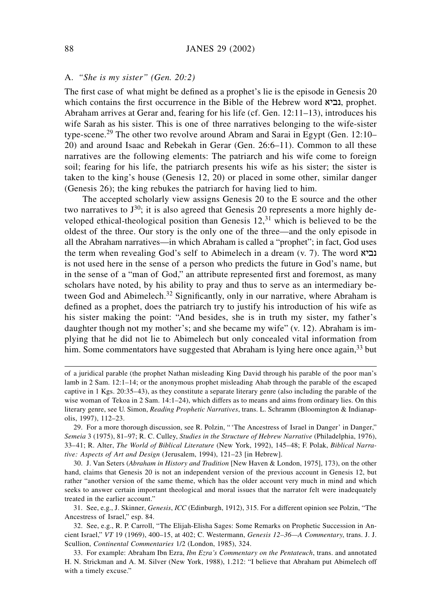# A. *"She is my sister" (Gen. 20:2)*

The first case of what might be defined as a prophet's lie is the episode in Genesis 20 which contains the first occurrence in the Bible of the Hebrew word  $\mathbf{x}$ וביא, prophet. Abraham arrives at Gerar and, fearing for his life (cf. Gen. 12:11–13), introduces his wife Sarah as his sister. This is one of three narratives belonging to the wife-sister type-scene.<sup>29</sup> The other two revolve around Abram and Sarai in Egypt (Gen. 12:10– 20) and around Isaac and Rebekah in Gerar (Gen. 26:6–11). Common to all these narratives are the following elements: The patriarch and his wife come to foreign soil; fearing for his life, the patriarch presents his wife as his sister; the sister is taken to the king's house (Genesis 12, 20) or placed in some other, similar danger (Genesis 26); the king rebukes the patriarch for having lied to him.

The accepted scholarly view assigns Genesis 20 to the E source and the other two narratives to  $J^{30}$ ; it is also agreed that Genesis 20 represents a more highly developed ethical-theological position than Genesis  $12<sup>31</sup>$  which is believed to be the oldest of the three. Our story is the only one of the three—and the only episode in all the Abraham narratives—in which Abraham is called a "prophet"; in fact, God uses the term when revealing God's self to Abimelech in a dream (v. 7). The word  $\overline{\mathbf{x}}$ is not used here in the sense of a person who predicts the future in God's name, but in the sense of a "man of God," an attribute represented first and foremost, as many scholars have noted, by his ability to pray and thus to serve as an intermediary between God and Abimelech.<sup>32</sup> Significantly, only in our narrative, where Abraham is defined as a prophet, does the patriarch try to justify his introduction of his wife as his sister making the point: "And besides, she is in truth my sister, my father's daughter though not my mother's; and she became my wife" (v. 12). Abraham is implying that he did not lie to Abimelech but only concealed vital information from him. Some commentators have suggested that Abraham is lying here once again,<sup>33</sup> but

31. See, e.g., J. Skinner, *Genesis*, *ICC* (Edinburgh, 1912), 315. For a different opinion see Polzin, "The Ancestress of Israel," esp. 84.

of a juridical parable (the prophet Nathan misleading King David through his parable of the poor man's lamb in 2 Sam. 12:1–14; or the anonymous prophet misleading Ahab through the parable of the escaped captive in 1 Kgs. 20:35–43), as they constitute a separate literary genre (also including the parable of the wise woman of Tekoa in 2 Sam. 14:1–24), which differs as to means and aims from ordinary lies. On this literary genre, see U. Simon, *Reading Prophetic Narratives*, trans. L. Schramm (Bloomington & Indianapolis, 1997), 112–23.

<sup>29.</sup> For a more thorough discussion, see R. Polzin, " 'The Ancestress of Israel in Danger' in Danger," *Semeia* 3 (1975), 81–97; R. C. Culley, *Studies in the Structure of Hebrew Narrative* (Philadelphia, 1976), 33–41; R. Alter, *The World of Biblical Literature* (New York, 1992), 145–48; F. Polak, *Biblical Narrative: Aspects of Art and Design* (Jerusalem, 1994), 121–23 [in Hebrew].

<sup>30.</sup> J. Van Seters (*Abraham in History and Tradition* [New Haven & London, 1975], 173), on the other hand, claims that Genesis 20 is not an independent version of the previous account in Genesis 12, but rather "another version of the same theme, which has the older account very much in mind and which seeks to answer certain important theological and moral issues that the narrator felt were inadequately treated in the earlier account."

<sup>32.</sup> See, e.g., R. P. Carroll, "The Elijah-Elisha Sages: Some Remarks on Prophetic Succession in Ancient Israel," *VT* 19 (1969), 400–15, at 402; C. Westermann, *Genesis 12–36—A Commentary*, trans. J. J. Scullion, *Continental Commentaries* 1/2 (London, 1985), 324.

<sup>33.</sup> For example: Abraham Ibn Ezra, *Ibn Ezra's Commentary on the Pentateuch*, trans. and annotated H. N. Strickman and A. M. Silver (New York, 1988), 1.212: "I believe that Abraham put Abimelech off with a timely excuse."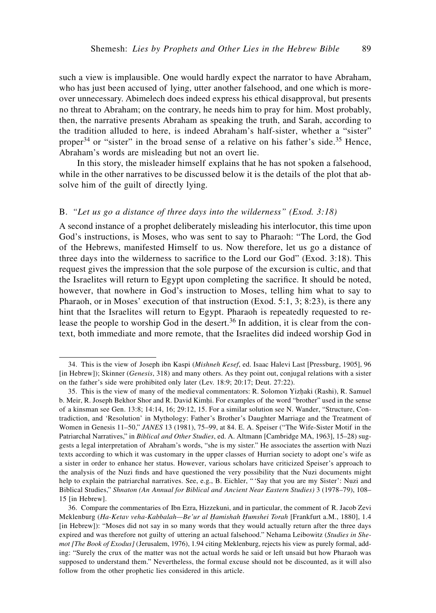such a view is implausible. One would hardly expect the narrator to have Abraham, who has just been accused of lying, utter another falsehood, and one which is moreover unnecessary. Abimelech does indeed express his ethical disapproval, but presents no threat to Abraham; on the contrary, he needs him to pray for him. Most probably, then, the narrative presents Abraham as speaking the truth, and Sarah, according to the tradition alluded to here, is indeed Abraham's half-sister, whether a "sister" proper<sup>34</sup> or "sister" in the broad sense of a relative on his father's side.<sup>35</sup> Hence, Abraham's words are misleading but not an overt lie.

In this story, the misleader himself explains that he has not spoken a falsehood, while in the other narratives to be discussed below it is the details of the plot that absolve him of the guilt of directly lying.

# B. *"Let us go a distance of three days into the wilderness" (Exod. 3:18)*

A second instance of a prophet deliberately misleading his interlocutor, this time upon God's instructions, is Moses, who was sent to say to Pharaoh: "The Lord, the God of the Hebrews, manifested Himself to us. Now therefore, let us go a distance of three days into the wilderness to sacrifice to the Lord our God" (Exod. 3:18). This request gives the impression that the sole purpose of the excursion is cultic, and that the Israelites will return to Egypt upon completing the sacrifice. It should be noted, however, that nowhere in God's instruction to Moses, telling him what to say to Pharaoh, or in Moses' execution of that instruction (Exod. 5:1, 3; 8:23), is there any hint that the Israelites will return to Egypt. Pharaoh is repeatedly requested to release the people to worship God in the desert.<sup>36</sup> In addition, it is clear from the context, both immediate and more remote, that the Israelites did indeed worship God in

<sup>34.</sup> This is the view of Joseph ibn Kaspi (*Mishneh Kesef*, ed. Isaac Halevi Last [Pressburg, 1905], 96 [in Hebrew]); Skinner (*Genesis*, 318) and many others. As they point out, conjugal relations with a sister on the father's side were prohibited only later (Lev. 18:9; 20:17; Deut. 27:22).

<sup>35.</sup> This is the view of many of the medieval commentators: R. Solomon Yizhaki (Rashi), R. Samuel b. Meir, R. Joseph Bekhor Shor and R. David Kimhi. For examples of the word "brother" used in the sense of a kinsman see Gen. 13:8; 14:14, 16; 29:12, 15. For a similar solution see N. Wander, "Structure, Contradiction, and 'Resolution' in Mythology: Father's Brother's Daughter Marriage and the Treatment of Women in Genesis 11–50," *JANES* 13 (1981), 75–99, at 84. E. A. Speiser ("The Wife-Sister Motif in the Patriarchal Narratives," in *Biblical and Other Studies*, ed. A. Altmann [Cambridge MA, 1963], 15–28) suggests a legal interpretation of Abraham's words, "she is my sister." He associates the assertion with Nuzi texts according to which it was customary in the upper classes of Hurrian society to adopt one's wife as a sister in order to enhance her status. However, various scholars have criticized Speiser's approach to the analysis of the Nuzi finds and have questioned the very possibility that the Nuzi documents might help to explain the patriarchal narratives. See, e.g., B. Eichler, " 'Say that you are my Sister': Nuzi and Biblical Studies," *Shnaton (An Annual for Biblical and Ancient Near Eastern Studies)* 3 (1978–79), 108– 15 [in Hebrew].

<sup>36.</sup> Compare the commentaries of Ibn Ezra, Hizzekuni, and in particular, the comment of R. Jacob Zevi Meklenburg (*Ha-Ketav veha-Kabbalah—Be'ur al Óamishah Óumshei Torah* [Frankfurt a.M., 1880], 1.4 [in Hebrew]): "Moses did not say in so many words that they would actually return after the three days expired and was therefore not guilty of uttering an actual falsehood." Nehama Leibowitz (*Studies in Shemot [The Book of Exodus]* (Jerusalem, 1976), 1.94 citing Meklenburg, rejects his view as purely formal, adding: "Surely the crux of the matter was not the actual words he said or left unsaid but how Pharaoh was supposed to understand them." Nevertheless, the formal excuse should not be discounted, as it will also follow from the other prophetic lies considered in this article.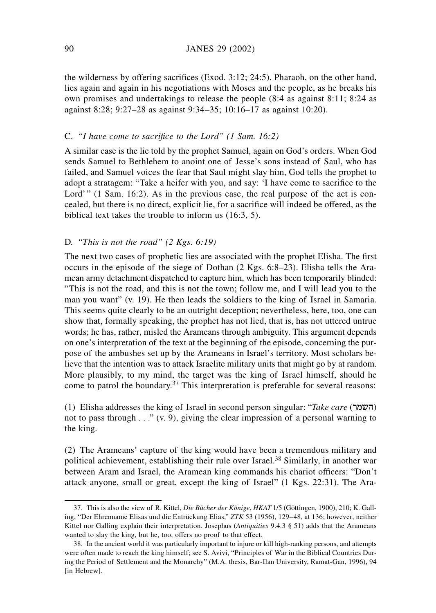the wilderness by offering sacrifices (Exod. 3:12; 24:5). Pharaoh, on the other hand, lies again and again in his negotiations with Moses and the people, as he breaks his own promises and undertakings to release the people (8:4 as against 8:11; 8:24 as against 8:28; 9:27–28 as against 9:34–35; 10:16–17 as against 10:20).

# C. *"I have come to sacrifice to the Lord" (1 Sam. 16:2)*

A similar case is the lie told by the prophet Samuel, again on God's orders. When God sends Samuel to Bethlehem to anoint one of Jesse's sons instead of Saul, who has failed, and Samuel voices the fear that Saul might slay him, God tells the prophet to adopt a stratagem: "Take a heifer with you, and say: 'I have come to sacrifice to the Lord'" (1 Sam. 16:2). As in the previous case, the real purpose of the act is concealed, but there is no direct, explicit lie, for a sacrifice will indeed be offered, as the biblical text takes the trouble to inform us (16:3, 5).

# D. *"This is not the road" (2 Kgs. 6:19)*

The next two cases of prophetic lies are associated with the prophet Elisha. The first occurs in the episode of the siege of Dothan (2 Kgs. 6:8–23). Elisha tells the Aramean army detachment dispatched to capture him, which has been temporarily blinded: "This is not the road, and this is not the town; follow me, and I will lead you to the man you want" (v. 19). He then leads the soldiers to the king of Israel in Samaria. This seems quite clearly to be an outright deception; nevertheless, here, too, one can show that, formally speaking, the prophet has not lied, that is, has not uttered untrue words; he has, rather, misled the Arameans through ambiguity. This argument depends on one's interpretation of the text at the beginning of the episode, concerning the purpose of the ambushes set up by the Arameans in Israel's territory. Most scholars believe that the intention was to attack Israelite military units that might go by at random. More plausibly, to my mind, the target was the king of Israel himself, should he come to patrol the boundary.<sup>37</sup> This interpretation is preferable for several reasons:

(1) Elisha addresses the king of Israel in second person singular: "Take care (**השמר**) not to pass through  $\ldots$ ." (v. 9), giving the clear impression of a personal warning to the king.

(2) The Arameans' capture of the king would have been a tremendous military and political achievement, establishing their rule over Israel.<sup>38</sup> Similarly, in another war between Aram and Israel, the Aramean king commands his chariot officers: "Don't attack anyone, small or great, except the king of Israel" (1 Kgs. 22:31). The Ara-

<sup>37.</sup> This is also the view of R. Kittel, *Die Bücher der Könige*, *HKAT* 1/5 (Göttingen, 1900), 210; K. Galling, "Der Ehrenname Elisas und die Entrückung Elias," *ZTK* 53 (1956), 129–48, at 136; however, neither Kittel nor Galling explain their interpretation. Josephus (*Antiquities* 9.4.3 § 51) adds that the Arameans wanted to slay the king, but he, too, offers no proof to that effect.

<sup>38.</sup> In the ancient world it was particularly important to injure or kill high-ranking persons, and attempts were often made to reach the king himself; see S. Avivi, "Principles of War in the Biblical Countries During the Period of Settlement and the Monarchy" (M.A. thesis, Bar-Ilan University, Ramat-Gan, 1996), 94 [in Hebrew].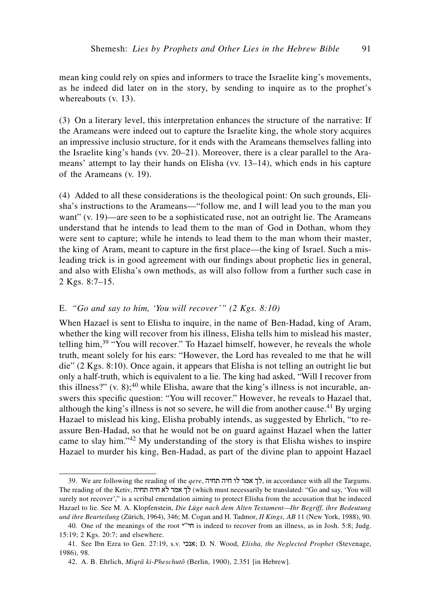mean king could rely on spies and informers to trace the Israelite king's movements, as he indeed did later on in the story, by sending to inquire as to the prophet's whereabouts (v. 13).

(3) On a literary level, this interpretation enhances the structure of the narrative: If the Arameans were indeed out to capture the Israelite king, the whole story acquires an impressive inclusio structure, for it ends with the Arameans themselves falling into the Israelite king's hands (vv. 20–21). Moreover, there is a clear parallel to the Arameans' attempt to lay their hands on Elisha (vv. 13–14), which ends in his capture of the Arameans (v. 19).

(4) Added to all these considerations is the theological point: On such grounds, Elisha's instructions to the Arameans—"follow me, and I will lead you to the man you want" (v. 19)—are seen to be a sophisticated ruse, not an outright lie. The Arameans understand that he intends to lead them to the man of God in Dothan, whom they were sent to capture; while he intends to lead them to the man whom their master, the king of Aram, meant to capture in the first place—the king of Israel. Such a misleading trick is in good agreement with our findings about prophetic lies in general, and also with Elisha's own methods, as will also follow from a further such case in 2 Kgs. 8:7–15.

# E. *"Go and say to him, 'You will recover'" (2 Kgs. 8:10)*

When Hazael is sent to Elisha to inquire, in the name of Ben-Hadad, king of Aram, whether the king will recover from his illness, Elisha tells him to mislead his master, telling him,<sup>39</sup> "You will recover." To Hazael himself, however, he reveals the whole truth, meant solely for his ears: "However, the Lord has revealed to me that he will die" (2 Kgs. 8:10). Once again, it appears that Elisha is not telling an outright lie but only a half-truth, which is equivalent to a lie. The king had asked, "Will I recover from this illness?"  $(v, 8)$ ;<sup>40</sup> while Elisha, aware that the king's illness is not incurable, answers this specific question: "You will recover." However, he reveals to Hazael that, although the king's illness is not so severe, he will die from another cause.<sup>41</sup> By urging Hazael to mislead his king, Elisha probably intends, as suggested by Ehrlich, "to reassure Ben-Hadad, so that he would not be on guard against Hazael when the latter came to slay him."<sup>42</sup> My understanding of the story is that Elisha wishes to inspire Hazael to murder his king, Ben-Hadad, as part of the divine plan to appoint Hazael

<sup>39.</sup> We are following the reading of the *qere*, לך אמר לו חיה תחיה, in accordance with all the Targums. The reading of the Ketiv, לך אמר לא חיה תחיה) (which must necessarily be translated: "Go and say, 'You will surely not recover'," is a scribal emendation aiming to protect Elisha from the accusation that he induced Hazael to lie. See M. A. Klopfenstein, *Die Lüge nach dem Alten Testament—Ihr Begriff, ihre Bedeutung und ihre Beurteilung* (Zürich, 1964), 346; M. Cogan and H. Tadmor, *II Kings*, *AB* 11 (New York, 1988), 90.

<sup>40.</sup> One of the meanings of the root  $\gamma$ <sup>n</sup> is indeed to recover from an illness, as in Josh. 5:8; Judg. 15:19; 2 Kgs. 20:7; and elsewhere.

<sup>41.</sup> See Ibn Ezra to Gen. 27:19, s.v. ykna; D. N. Wood, *Elisha, the Neglected Prophet* (Stevenage, 1986), 98.

<sup>42.</sup> A. B. Ehrlich, *Miqrâ ki-Pheschutô* (Berlin, 1900), 2.351 [in Hebrew].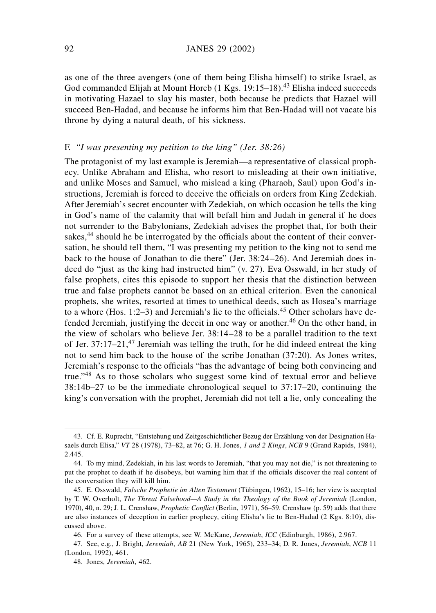as one of the three avengers (one of them being Elisha himself) to strike Israel, as God commanded Elijah at Mount Horeb (1 Kgs. 19:15–18).<sup>43</sup> Elisha indeed succeeds in motivating Hazael to slay his master, both because he predicts that Hazael will succeed Ben-Hadad, and because he informs him that Ben-Hadad will not vacate his throne by dying a natural death, of his sickness.

# F. *"I was presenting my petition to the king" (Jer. 38:26)*

The protagonist of my last example is Jeremiah—a representative of classical prophecy. Unlike Abraham and Elisha, who resort to misleading at their own initiative, and unlike Moses and Samuel, who mislead a king (Pharaoh, Saul) upon God's instructions, Jeremiah is forced to deceive the officials on orders from King Zedekiah. After Jeremiah's secret encounter with Zedekiah, on which occasion he tells the king in God's name of the calamity that will befall him and Judah in general if he does not surrender to the Babylonians, Zedekiah advises the prophet that, for both their sakes,<sup>44</sup> should he be interrogated by the officials about the content of their conversation, he should tell them, "I was presenting my petition to the king not to send me back to the house of Jonathan to die there" (Jer. 38:24–26). And Jeremiah does indeed do "just as the king had instructed him" (v. 27). Eva Osswald, in her study of false prophets, cites this episode to support her thesis that the distinction between true and false prophets cannot be based on an ethical criterion. Even the canonical prophets, she writes, resorted at times to unethical deeds, such as Hosea's marriage to a whore (Hos.  $1:2-3$ ) and Jeremiah's lie to the officials.<sup>45</sup> Other scholars have defended Jeremiah, justifying the deceit in one way or another.<sup>46</sup> On the other hand, in the view of scholars who believe Jer. 38:14–28 to be a parallel tradition to the text of Jer.  $37:17-21$ ,<sup>47</sup> Jeremiah was telling the truth, for he did indeed entreat the king not to send him back to the house of the scribe Jonathan (37:20). As Jones writes, Jeremiah's response to the officials "has the advantage of being both convincing and true."<sup>48</sup> As to those scholars who suggest some kind of textual error and believe 38:14b–27 to be the immediate chronological sequel to 37:17–20, continuing the king's conversation with the prophet, Jeremiah did not tell a lie, only concealing the

<sup>43.</sup> Cf. E. Ruprecht, "Entstehung und Zeitgeschichtlicher Bezug der Erzählung von der Designation Hasaels durch Elisa," *VT* 28 (1978), 73–82, at 76; G. H. Jones, *1 and 2 Kings*, *NCB* 9 (Grand Rapids, 1984), 2.445.

<sup>44.</sup> To my mind, Zedekiah, in his last words to Jeremiah, "that you may not die," is not threatening to put the prophet to death if he disobeys, but warning him that if the officials discover the real content of the conversation they will kill him.

<sup>45.</sup> E. Osswald, *Falsche Prophetie im Alten Testament* (Tübingen, 1962), 15–16; her view is accepted by T. W. Overholt, *The Threat Falsehood—A Study in the Theology of the Book of Jeremiah* (London, 1970), 40, n. 29; J. L. Crenshaw, *Prophetic Conflict* (Berlin, 1971), 56–59. Crenshaw (p. 59) adds that there are also instances of deception in earlier prophecy, citing Elisha's lie to Ben-Hadad (2 Kgs. 8:10), discussed above.

<sup>46.</sup> For a survey of these attempts, see W. McKane, *Jeremiah*, *ICC* (Edinburgh, 1986), 2.967.

<sup>47.</sup> See, e.g., J. Bright, *Jeremiah*, *AB* 21 (New York, 1965), 233–34; D. R. Jones, *Jeremiah*, *NCB* 11 (London, 1992), 461.

<sup>48.</sup> Jones, *Jeremiah*, 462.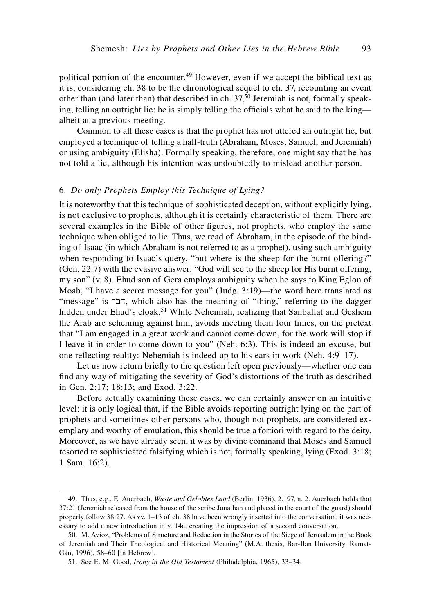political portion of the encounter.<sup>49</sup> However, even if we accept the biblical text as it is, considering ch. 38 to be the chronological sequel to ch. 37, recounting an event other than (and later than) that described in ch.  $37,50$  Jeremiah is not, formally speaking, telling an outright lie: he is simply telling the officials what he said to the king albeit at a previous meeting.

Common to all these cases is that the prophet has not uttered an outright lie, but employed a technique of telling a half-truth (Abraham, Moses, Samuel, and Jeremiah) or using ambiguity (Elisha). Formally speaking, therefore, one might say that he has not told a lie, although his intention was undoubtedly to mislead another person.

### 6. *Do only Prophets Employ this Technique of Lying?*

It is noteworthy that this technique of sophisticated deception, without explicitly lying, is not exclusive to prophets, although it is certainly characteristic of them. There are several examples in the Bible of other figures, not prophets, who employ the same technique when obliged to lie. Thus, we read of Abraham, in the episode of the binding of Isaac (in which Abraham is not referred to as a prophet), using such ambiguity when responding to Isaac's query, "but where is the sheep for the burnt offering?" (Gen. 22:7) with the evasive answer: "God will see to the sheep for His burnt offering, my son" (v. 8). Ehud son of Gera employs ambiguity when he says to King Eglon of Moab, "I have a secret message for you" (Judg. 3:19)—the word here translated as "message" is  $\tau$ , which also has the meaning of "thing," referring to the dagger hidden under Ehud's cloak.<sup>51</sup> While Nehemiah, realizing that Sanballat and Geshem the Arab are scheming against him, avoids meeting them four times, on the pretext that "I am engaged in a great work and cannot come down, for the work will stop if I leave it in order to come down to you" (Neh. 6:3). This is indeed an excuse, but one reflecting reality: Nehemiah is indeed up to his ears in work (Neh. 4:9–17).

Let us now return briefly to the question left open previously—whether one can find any way of mitigating the severity of God's distortions of the truth as described in Gen. 2:17; 18:13; and Exod. 3:22.

Before actually examining these cases, we can certainly answer on an intuitive level: it is only logical that, if the Bible avoids reporting outright lying on the part of prophets and sometimes other persons who, though not prophets, are considered exemplary and worthy of emulation, this should be true a fortiori with regard to the deity. Moreover, as we have already seen, it was by divine command that Moses and Samuel resorted to sophisticated falsifying which is not, formally speaking, lying (Exod. 3:18; 1 Sam. 16:2).

<sup>49.</sup> Thus, e.g., E. Auerbach, *Wüste und Gelobtes Land* (Berlin, 1936), 2.197, n. 2. Auerbach holds that 37:21 (Jeremiah released from the house of the scribe Jonathan and placed in the court of the guard) should properly follow 38:27. As vv. 1–13 of ch. 38 have been wrongly inserted into the conversation, it was necessary to add a new introduction in v. 14a, creating the impression of a second conversation.

<sup>50.</sup> M. Avioz, "Problems of Structure and Redaction in the Stories of the Siege of Jerusalem in the Book of Jeremiah and Their Theological and Historical Meaning" (M.A. thesis, Bar-Ilan University, Ramat-Gan, 1996), 58–60 [in Hebrew].

<sup>51.</sup> See E. M. Good, *Irony in the Old Testament* (Philadelphia, 1965), 33–34.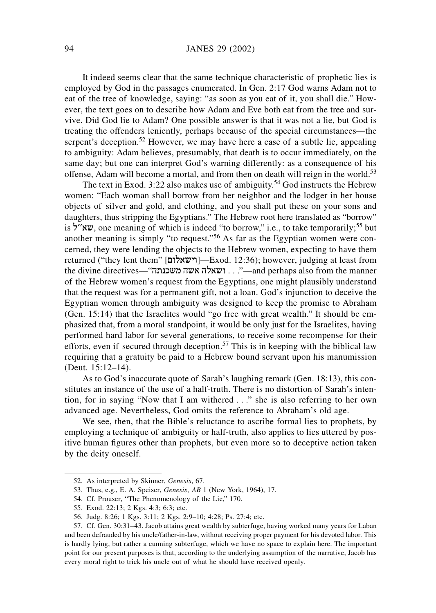# 94 JANES 29 (2002)

It indeed seems clear that the same technique characteristic of prophetic lies is employed by God in the passages enumerated. In Gen. 2:17 God warns Adam not to eat of the tree of knowledge, saying: "as soon as you eat of it, you shall die." However, the text goes on to describe how Adam and Eve both eat from the tree and survive. Did God lie to Adam? One possible answer is that it was not a lie, but God is treating the offenders leniently, perhaps because of the special circumstances—the serpent's deception.<sup>52</sup> However, we may have here a case of a subtle lie, appealing to ambiguity: Adam believes, presumably, that death is to occur immediately, on the same day; but one can interpret God's warning differently: as a consequence of his offense, Adam will become a mortal, and from then on death will reign in the world.<sup>53</sup>

The text in Exod. 3:22 also makes use of ambiguity.<sup>54</sup> God instructs the Hebrew women: "Each woman shall borrow from her neighbor and the lodger in her house objects of silver and gold, and clothing, and you shall put these on your sons and daughters, thus stripping the Egyptians." The Hebrew root here translated as "borrow" is "ww, one meaning of which is indeed "to borrow," i.e., to take temporarily;<sup>55</sup> but another meaning is simply "to request."<sup>56</sup> As far as the Egyptian women were concerned, they were lending the objects to the Hebrew women, expecting to have them returned ("they lent them" [µwlaçyw]—Exod. 12:36); however, judging at least from the divine directives—"... . ושאלה אשה משכנתה: "—and perhaps also from the manner of the Hebrew women's request from the Egyptians, one might plausibly understand that the request was for a permanent gift, not a loan. God's injunction to deceive the Egyptian women through ambiguity was designed to keep the promise to Abraham (Gen. 15:14) that the Israelites would "go free with great wealth." It should be emphasized that, from a moral standpoint, it would be only just for the Israelites, having performed hard labor for several generations, to receive some recompense for their efforts, even if secured through deception.<sup>57</sup> This is in keeping with the biblical law requiring that a gratuity be paid to a Hebrew bound servant upon his manumission (Deut. 15:12–14).

As to God's inaccurate quote of Sarah's laughing remark (Gen. 18:13), this constitutes an instance of the use of a half-truth. There is no distortion of Sarah's intention, for in saying "Now that I am withered . . ." she is also referring to her own advanced age. Nevertheless, God omits the reference to Abraham's old age.

We see, then, that the Bible's reluctance to ascribe formal lies to prophets, by employing a technique of ambiguity or half-truth, also applies to lies uttered by positive human figures other than prophets, but even more so to deceptive action taken by the deity oneself.

<sup>52.</sup> As interpreted by Skinner, *Genesis*, 67.

<sup>53.</sup> Thus, e.g., E. A. Speiser, *Genesis*, *AB* 1 (New York, 1964), 17.

<sup>54.</sup> Cf. Prouser, "The Phenomenology of the Lie," 170.

<sup>55.</sup> Exod. 22:13; 2 Kgs. 4:3; 6:3; etc.

<sup>56.</sup> Judg. 8:26; 1 Kgs. 3:11; 2 Kgs. 2:9–10; 4:28; Ps. 27:4; etc.

<sup>57.</sup> Cf. Gen. 30:31–43. Jacob attains great wealth by subterfuge, having worked many years for Laban and been defrauded by his uncle/father-in-law, without receiving proper payment for his devoted labor. This is hardly lying, but rather a cunning subterfuge, which we have no space to explain here. The important point for our present purposes is that, according to the underlying assumption of the narrative, Jacob has every moral right to trick his uncle out of what he should have received openly.